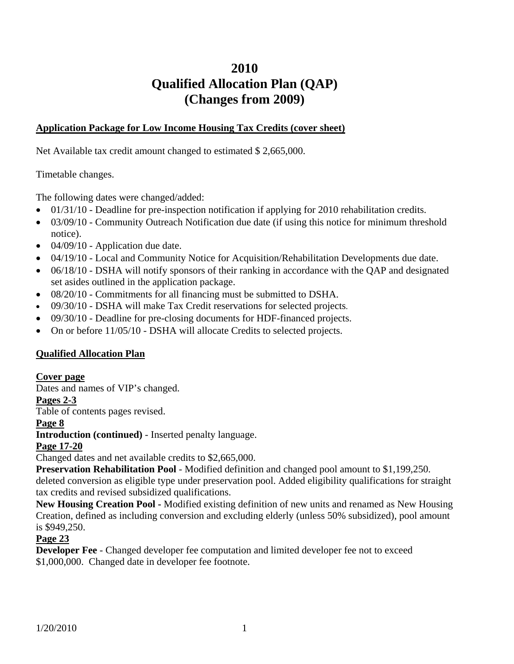# **2010 Qualified Allocation Plan (QAP) (Changes from 2009)**

#### **Application Package for Low Income Housing Tax Credits (cover sheet)**

Net Available tax credit amount changed to estimated \$ 2,665,000.

Timetable changes.

The following dates were changed/added:

- $\bullet$  01/31/10 Deadline for pre-inspection notification if applying for 2010 rehabilitation credits.
- 03/09/10 Community Outreach Notification due date (if using this notice for minimum threshold notice).
- $\bullet$  04/09/10 Application due date.
- 04/19/10 Local and Community Notice for Acquisition/Rehabilitation Developments due date.
- 06/18/10 DSHA will notify sponsors of their ranking in accordance with the OAP and designated set asides outlined in the application package.
- 08/20/10 Commitments for all financing must be submitted to DSHA.
- 09/30/10 DSHA will make Tax Credit reservations for selected projects.
- 09/30/10 Deadline for pre-closing documents for HDF-financed projects.
- On or before  $11/05/10$  DSHA will allocate Credits to selected projects.

## **Qualified Allocation Plan**

#### **Cover page**

Dates and names of VIP's changed.

**Pages 2-3**

Table of contents pages revised.

#### **Page 8**

**Introduction (continued)** - Inserted penalty language.

## **Page 17-20**

Changed dates and net available credits to \$2,665,000.

**Preservation Rehabilitation Pool** - Modified definition and changed pool amount to \$1,199,250.

deleted conversion as eligible type under preservation pool. Added eligibility qualifications for straight tax credits and revised subsidized qualifications.

**New Housing Creation Pool -** Modified existing definition of new units and renamed as New Housing Creation, defined as including conversion and excluding elderly (unless 50% subsidized), pool amount is \$949,250.

#### **Page 23**

**Developer Fee** - Changed developer fee computation and limited developer fee not to exceed \$1,000,000. Changed date in developer fee footnote.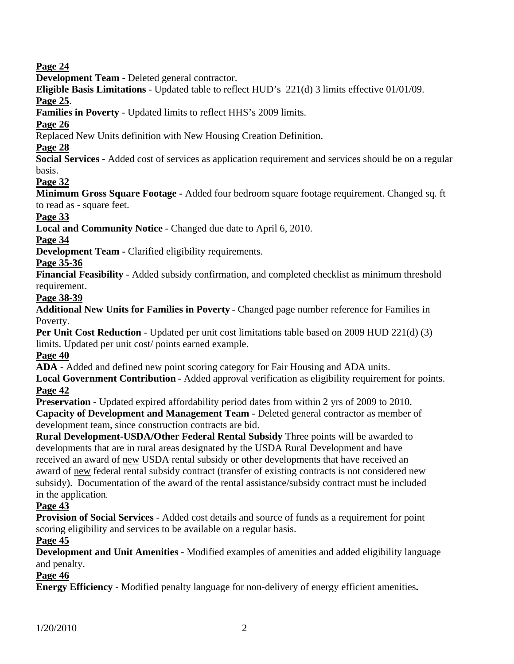## **Page 24**

**Development Team -** Deleted general contractor.

**Eligible Basis Limitations** - Updated table to reflect HUD's 221(d) 3 limits effective 01/01/09.

#### **Page 25**.

**Families in Poverty** - Updated limits to reflect HHS's 2009 limits.

**Page 26**

Replaced New Units definition with New Housing Creation Definition.

## **Page 28**

**Social Services -** Added cost of services as application requirement and services should be on a regular basis.

## **Page 32**

**Minimum Gross Square Footage -** Added four bedroom square footage requirement. Changed sq. ft to read as - square feet.

#### **Page 33**

**Local and Community Notice** - Changed due date to April 6, 2010.

## **Page 34**

**Development Team - Clarified eligibility requirements.** 

## **Page 35-36**

**Financial Feasibility** - Added subsidy confirmation, and completed checklist as minimum threshold requirement.

#### **Page 38-39**

**Additional New Units for Families in Poverty** – Changed page number reference for Families in Poverty.

**Per Unit Cost Reduction** - Updated per unit cost limitations table based on 2009 HUD 221(d) (3) limits. Updated per unit cost/ points earned example.

**Page 40**

**ADA** - Added and defined new point scoring category for Fair Housing and ADA units.

**Local Government Contribution** - Added approval verification as eligibility requirement for points. **Page 42**

**Preservation** - Updated expired affordability period dates from within 2 yrs of 2009 to 2010. **Capacity of Development and Management Team** - Deleted general contractor as member of development team, since construction contracts are bid.

**Rural Development-USDA/Other Federal Rental Subsidy** Three points will be awarded to developments that are in rural areas designated by the USDA Rural Development and have received an award of new USDA rental subsidy or other developments that have received an award of new federal rental subsidy contract (transfer of existing contracts is not considered new subsidy). Documentation of the award of the rental assistance/subsidy contract must be included in the application.

## **Page 43**

**Provision of Social Services** - Added cost details and source of funds as a requirement for point scoring eligibility and services to be available on a regular basis.

## **Page 45**

**Development and Unit Amenities -** Modified examples of amenities and added eligibility language and penalty.

## **Page 46**

**Energy Efficiency -** Modified penalty language for non-delivery of energy efficient amenities**.**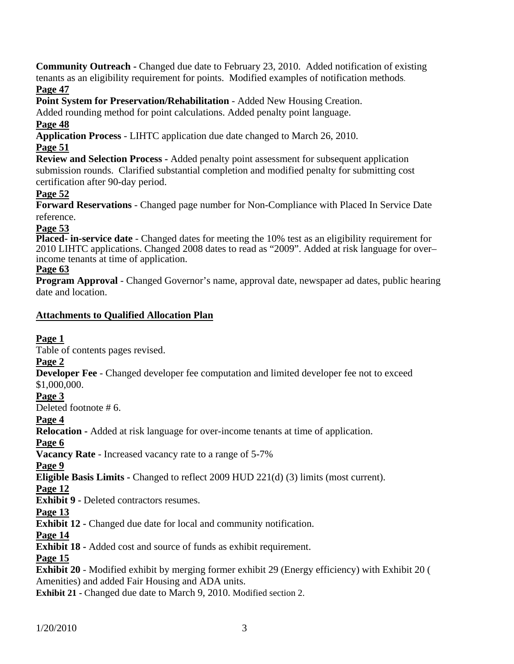**Community Outreach -** Changed due date to February 23, 2010. Added notification of existing tenants as an eligibility requirement for points. Modified examples of notification methods.

## **Page 47**

**Point System for Preservation/Rehabilitation** - Added New Housing Creation.

Added rounding method for point calculations. Added penalty point language.

## **Page 48**

**Application Process** - LIHTC application due date changed to March 26, 2010.

## **Page 51**

**Review and Selection Process -** Added penalty point assessment for subsequent application submission rounds. Clarified substantial completion and modified penalty for submitting cost certification after 90-day period.

## **Page 52**

**Forward Reservations** - Changed page number for Non-Compliance with Placed In Service Date reference.

#### **Page 53**

**Placed- in-service date** - Changed dates for meeting the 10% test as an eligibility requirement for 2010 LIHTC applications. Changed 2008 dates to read as "2009". Added at risk language for over– income tenants at time of application.

## **Page 63**

**Program Approval** - Changed Governor's name, approval date, newspaper ad dates, public hearing date and location.

## **Attachments to Qualified Allocation Plan**

## **Page 1**

Table of contents pages revised.

## **Page 2**

#### **Developer Fee** - Changed developer fee computation and limited developer fee not to exceed \$1,000,000.

# **Page 3**

Deleted footnote # 6.

## **Page 4**

**Relocation -** Added at risk language for over-income tenants at time of application.

## **Page 6**

**Vacancy Rate** - Increased vacancy rate to a range of 5-7%

#### **Page 9**

**Eligible Basis Limits -** Changed to reflect 2009 HUD 221(d) (3) limits (most current).

## **Page 12**

**Exhibit 9 - Deleted contractors resumes.** 

## **Page 13**

**Exhibit 12 -** Changed due date for local and community notification.

## **Page 14**

**Exhibit 18 -** Added cost and source of funds as exhibit requirement.

## **Page 15**

**Exhibit 20** - Modified exhibit by merging former exhibit 29 (Energy efficiency) with Exhibit 20 ( Amenities) and added Fair Housing and ADA units.

**Exhibit 21 - Changed due date to March 9, 2010. Modified section 2.**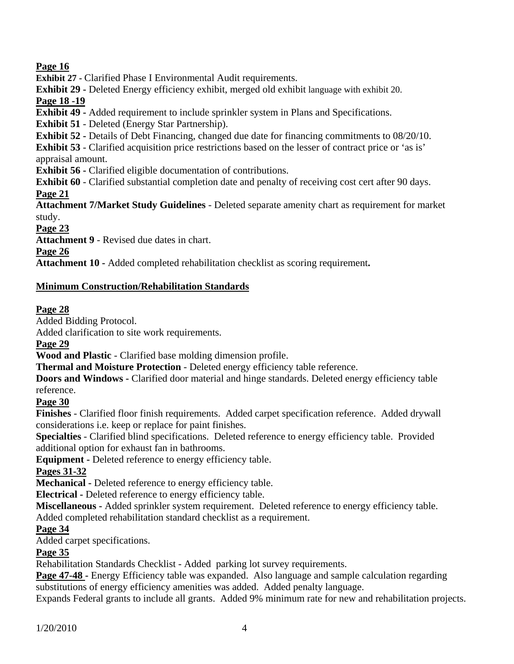## **Page 16**

**Exhibit 27 -** Clarified Phase I Environmental Audit requirements.

**Exhibit 29 -** Deleted Energy efficiency exhibit, merged old exhibit language with exhibit 20.

#### **Page 18 -19**

**Exhibit 49 -** Added requirement to include sprinkler system in Plans and Specifications.

**Exhibit 51** - Deleted (Energy Star Partnership).

**Exhibit 52 -** Details of Debt Financing, changed due date for financing commitments to 08/20/10.

**Exhibit 53** - Clarified acquisition price restrictions based on the lesser of contract price or 'as is' appraisal amount.

**Exhibit 56 -** Clarified eligible documentation of contributions.

**Exhibit 60** - Clarified substantial completion date and penalty of receiving cost cert after 90 days. **Page 21**

**Attachment 7/Market Study Guidelines** - Deleted separate amenity chart as requirement for market study.

**Page 23**

**Attachment 9** - Revised due dates in chart.

**Page 26**

**Attachment 10 -** Added completed rehabilitation checklist as scoring requirement**.** 

#### **Minimum Construction/Rehabilitation Standards**

#### **Page 28**

Added Bidding Protocol.

Added clarification to site work requirements.

#### **Page 29**

**Wood and Plastic** - Clarified base molding dimension profile.

**Thermal and Moisture Protection** - Deleted energy efficiency table reference.

**Doors and Windows - Clarified door material and hinge standards. Deleted energy efficiency table** reference.

#### **Page 30**

**Finishes** - Clarified floor finish requirements. Added carpet specification reference. Added drywall considerations i.e. keep or replace for paint finishes.

**Specialties** - Clarified blind specifications. Deleted reference to energy efficiency table. Provided additional option for exhaust fan in bathrooms.

**Equipment -** Deleted reference to energy efficiency table.

## **Pages 31-32**

**Mechanical -** Deleted reference to energy efficiency table.

**Electrical -** Deleted reference to energy efficiency table.

**Miscellaneous -** Added sprinkler system requirement. Deleted reference to energy efficiency table. Added completed rehabilitation standard checklist as a requirement.

#### **Page 34**

Added carpet specifications.

## **Page 35**

Rehabilitation Standards Checklist - Added parking lot survey requirements.

Page 47-48 - Energy Efficiency table was expanded. Also language and sample calculation regarding substitutions of energy efficiency amenities was added.Added penalty language.

Expands Federal grants to include all grants. Added 9% minimum rate for new and rehabilitation projects.